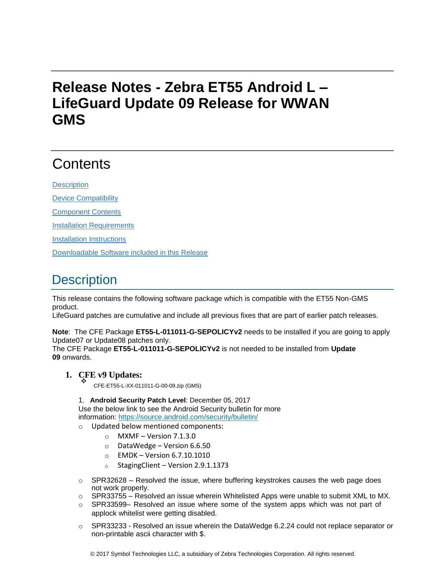# **Release Notes - Zebra ET55 Android L – LifeGuard Update 09 Release for WWAN GMS**

# **Contents**

**[Description](#page-0-0)** 

[Device Compatibility](#page-3-0)

[Component Contents](#page-3-1)

[Installation Requirements](#page-3-2)

[Installation Instructions](#page-3-3)

[Downloadable Software included in this Release](#page-5-0)

# <span id="page-0-0"></span>**Description**

This release contains the following software package which is compatible with the ET55 Non-GMS product.

LifeGuard patches are cumulative and include all previous fixes that are part of earlier patch releases.

**Note**: The CFE Package **ET55-L-011011-G-SEPOLICYv2** needs to be installed if you are going to apply Update07 or Update08 patches only.

The CFE Package **ET55-L-011011-G-SEPOLICYv2** is not needed to be installed from **Update 09** onwards.

# **1. CFE v9 Updates:** ❖

CFE-ET55-L-XX-011011-G-00-09.zip (GMS)

1. **Android Security Patch Level**: December 05, 2017

Use the below link to see the Android Security bulletin for more information:<https://source.android.com/security/bulletin/>

- o Updated below mentioned components:
	- $\circ$  MXMF Version 7.1.3.0
	- o DataWedge Version 6.6.50
	- o EMDK Version 6.7.10.1010
	- $\circ$  StagingClient Version 2.9.1.1373
- $\circ$  SPR32628 Resolved the issue, where buffering keystrokes causes the web page does not work properly.
- $\circ$  SPR33755 Resolved an issue wherein Whitelisted Apps were unable to submit XML to MX.
- $\circ$  SPR33599– Resolved an issue where some of the system apps which was not part of applock whitelist were getting disabled.
- o SPR33233 Resolved an issue wherein the DataWedge 6.2.24 could not replace separator or non-printable ascii character with \$.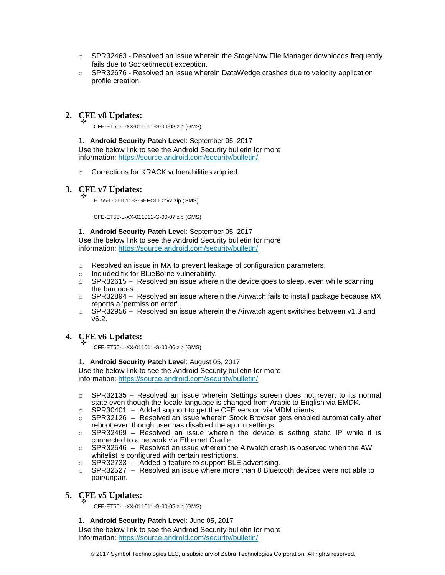- $\circ$  SPR32463 Resolved an issue wherein the StageNow File Manager downloads frequently fails due to Socketimeout exception.
- $\circ$  SPR32676 Resolved an issue wherein DataWedge crashes due to velocity application profile creation.

## **2. CFE v8 Updates:** ❖

CFE-ET55-L-XX-011011-G-00-08.zip (GMS)

#### 1. **Android Security Patch Level**: September 05, 2017

Use the below link to see the Android Security bulletin for more information:<https://source.android.com/security/bulletin/>

o Corrections for KRACK vulnerabilities applied.

# **3. CFE v7 Updates:** ❖

ET55-L-011011-G-SEPOLICYv2.zip (GMS)

CFE-ET55-L-XX-011011-G-00-07.zip (GMS)

### 1. **Android Security Patch Level**: September 05, 2017

Use the below link to see the Android Security bulletin for more

information:<https://source.android.com/security/bulletin/>

- o Resolved an issue in MX to prevent leakage of configuration parameters.
- o Included fix for BlueBorne vulnerability.
- $\circ$  SPR32615 Resolved an issue wherein the device goes to sleep, even while scanning the barcodes.
- $\circ$  SPR32894 Resolved an issue wherein the Airwatch fails to install package because MX reports a 'permission error'.
- $\circ$  SPR32956 Resolved an issue wherein the Airwatch agent switches between v1.3 and v6.2.

#### **4. CFE v6 Updates:** ❖

CFE-ET55-L-XX-011011-G-00-06.zip (GMS)

#### 1. **Android Security Patch Level**: August 05, 2017

Use the below link to see the Android Security bulletin for more information:<https://source.android.com/security/bulletin/>

- $\circ$  SPR32135 Resolved an issue wherein Settings screen does not revert to its normal state even though the locale language is changed from Arabic to English via EMDK.
- o SPR30401 Added support to get the CFE version via MDM clients.
- $\circ$  SPR32126 Resolved an issue wherein Stock Browser gets enabled automatically after reboot even though user has disabled the app in settings.
- $\circ$  SPR32469 Resolved an issue wherein the device is setting static IP while it is connected to a network via Ethernet Cradle.
- $\circ$  SPR32546 Resolved an issue wherein the Airwatch crash is observed when the AW whitelist is configured with certain restrictions.
- $\circ$  SPR32733 Added a feature to support BLE advertising.
- $\circ$  SPR32527 Resolved an issue where more than 8 Bluetooth devices were not able to pair/unpair.

#### **5. CFE v5 Updates:** ❖

CFE-ET55-L-XX-011011-G-00-05.zip (GMS)

### 1. **Android Security Patch Level**: June 05, 2017

Use the below link to see the Android Security bulletin for more information:<https://source.android.com/security/bulletin/>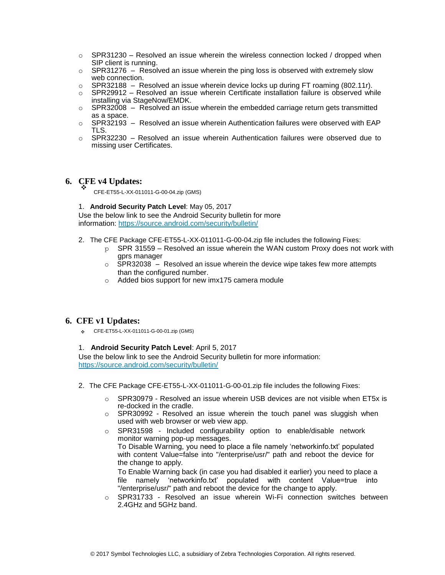- $\circ$  SPR31230 Resolved an issue wherein the wireless connection locked / dropped when SIP client is running.
- $\circ$  SPR31276 Resolved an issue wherein the ping loss is observed with extremely slow web connection.
- o SPR32188 Resolved an issue wherein device locks up during FT roaming (802.11r).
- $\circ$  SPR29912 Resolved an issue wherein Certificate installation failure is observed while installing via StageNow/EMDK.
- $\circ$  SPR32008 Resolved an issue wherein the embedded carriage return gets transmitted as a space.
- o SPR32193 Resolved an issue wherein Authentication failures were observed with EAP TLS.
- $\circ$  SPR32230 Resolved an issue wherein Authentication failures were observed due to missing user Certificates.

#### **6. CFE v4 Updates:** ❖

CFE-ET55-L-XX-011011-G-00-04.zip (GMS)

#### 1. **Android Security Patch Level**: May 05, 2017

Use the below link to see the Android Security bulletin for more information:<https://source.android.com/security/bulletin/>

- 2. The CFE Package CFE-ET55-L-XX-011011-G-00-04.zip file includes the following Fixes:
	- $p$  SPR 31559 Resolved an issue wherein the WAN custom Proxy does not work with gprs manager
	- $\circ$  SPR32038 Resolved an issue wherein the device wipe takes few more attempts than the configured number.
	- o Added bios support for new imx175 camera module

### **6. CFE v1 Updates:**

❖ CFE-ET55-L-XX-011011-G-00-01.zip (GMS)

#### 1. **Android Security Patch Level**: April 5, 2017

Use the below link to see the Android Security bulletin for more information: <https://source.android.com/security/bulletin/>

- 2. The CFE Package CFE-ET55-L-XX-011011-G-00-01.zip file includes the following Fixes:
	- o SPR30979 Resolved an issue wherein USB devices are not visible when ET5x is re-docked in the cradle.
	- $\circ$  SPR30992 Resolved an issue wherein the touch panel was sluggish when used with web browser or web view app.
	- o SPR31598 Included configurability option to enable/disable network monitor warning pop-up messages. To Disable Warning, you need to place a file namely 'networkinfo.txt' populated with content Value=false into "/enterprise/usr/" path and reboot the device for the change to apply.

To Enable Warning back (in case you had disabled it earlier) you need to place a file namely 'networkinfo.txt' populated with content Value=true into "/enterprise/usr/" path and reboot the device for the change to apply.

o SPR31733 - Resolved an issue wherein Wi-Fi connection switches between 2.4GHz and 5GHz band.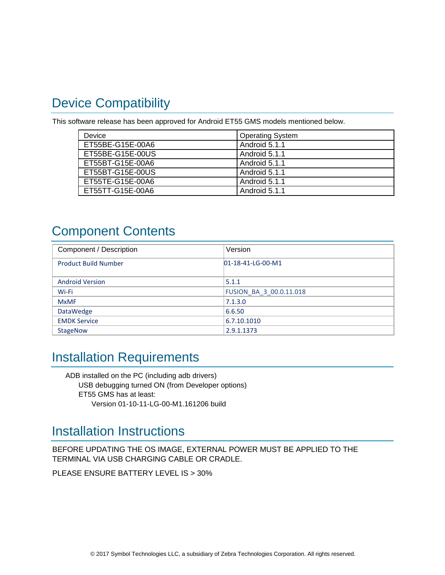# <span id="page-3-0"></span>Device Compatibility

This software release has been approved for Android ET55 GMS models mentioned below.

| Device           | <b>Operating System</b> |
|------------------|-------------------------|
| ET55BE-G15E-00A6 | Android 5.1.1           |
| ET55BE-G15E-00US | Android 5.1.1           |
| ET55BT-G15E-00A6 | Android 5.1.1           |
| ET55BT-G15E-00US | Android 5.1.1           |
| ET55TE-G15E-00A6 | Android 5.1.1           |
| ET55TT-G15E-00A6 | Android 5.1.1           |

# <span id="page-3-1"></span>Component Contents

| Component / Description     | Version                        |
|-----------------------------|--------------------------------|
| <b>Product Build Number</b> | $D1-18-41-LG-00-M1$            |
|                             |                                |
| <b>Android Version</b>      | 5.1.1                          |
| Wi-Fi                       | <b>FUSION BA 3 00.0.11.018</b> |
| <b>MxMF</b>                 | 7.1.3.0                        |
| <b>DataWedge</b>            | 6.6.50                         |
| <b>EMDK Service</b>         | 6.7.10.1010                    |
| <b>StageNow</b>             | 2.9.1.1373                     |

# <span id="page-3-2"></span>Installation Requirements

ADB installed on the PC (including adb drivers) USB debugging turned ON (from Developer options) ET55 GMS has at least: Version 01-10-11-LG-00-M1.161206 build

# <span id="page-3-3"></span>Installation Instructions

BEFORE UPDATING THE OS IMAGE, EXTERNAL POWER MUST BE APPLIED TO THE TERMINAL VIA USB CHARGING CABLE OR CRADLE.

PLEASE ENSURE BATTERY LEVEL IS > 30%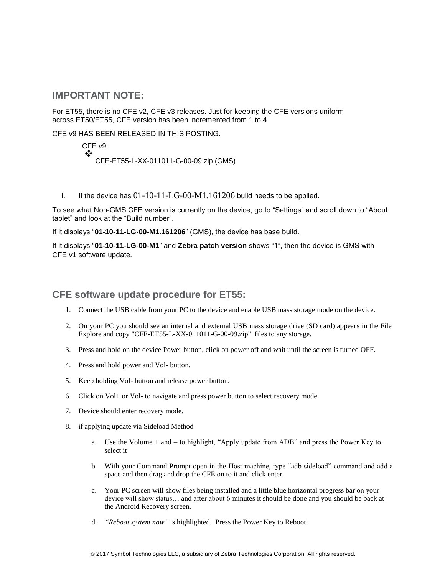### **IMPORTANT NOTE:**

For ET55, there is no CFE v2, CFE v3 releases. Just for keeping the CFE versions uniform across ET50/ET55, CFE version has been incremented from 1 to 4

CFE v9 HAS BEEN RELEASED IN THIS POSTING.

CFE v9: ❖ CFE-ET55-L-XX-011011-G-00-09.zip (GMS)

i. If the device has  $01-10-11-LG-00-M1.161206$  build needs to be applied.

To see what Non-GMS CFE version is currently on the device, go to "Settings" and scroll down to "About tablet" and look at the "Build number".

If it displays "**01-10-11-LG-00-M1.161206**" (GMS), the device has base build.

If it displays "**01-10-11-LG-00-M1**" and **Zebra patch version** shows "1", then the device is GMS with CFE v1 software update.

## **CFE software update procedure for ET55:**

- 1. Connect the USB cable from your PC to the device and enable USB mass storage mode on the device.
- 2. On your PC you should see an internal and external USB mass storage drive (SD card) appears in the File Explore and copy "CFE-ET55-L-XX-011011-G-00-09.zip" files to any storage.
- 3. Press and hold on the device Power button, click on power off and wait until the screen is turned OFF.
- 4. Press and hold power and Vol- button.
- 5. Keep holding Vol- button and release power button.
- 6. Click on Vol+ or Vol- to navigate and press power button to select recovery mode.
- 7. Device should enter recovery mode.
- 8. if applying update via Sideload Method
	- a. Use the Volume + and to highlight, "Apply update from ADB" and press the Power Key to select it
	- b. With your Command Prompt open in the Host machine, type "adb sideload" command and add a space and then drag and drop the CFE on to it and click enter.
	- c. Your PC screen will show files being installed and a little blue horizontal progress bar on your device will show status… and after about 6 minutes it should be done and you should be back at the Android Recovery screen.
	- d. *"Reboot system now"* is highlighted. Press the Power Key to Reboot.